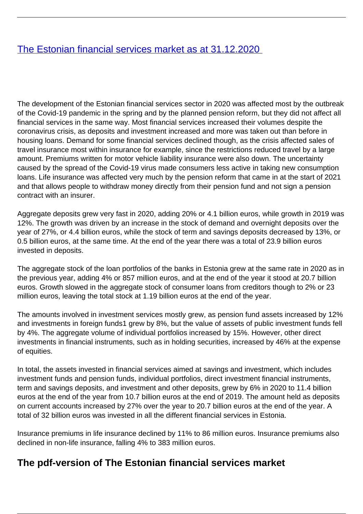## [The Estonian financial services market as at 31.12.2020](/en/publications/estonian-financial-services-market-31122020)

The development of the Estonian financial services sector in 2020 was affected most by the outbreak of the Covid-19 pandemic in the spring and by the planned pension reform, but they did not affect all financial services in the same way. Most financial services increased their volumes despite the coronavirus crisis, as deposits and investment increased and more was taken out than before in housing loans. Demand for some financial services declined though, as the crisis affected sales of travel insurance most within insurance for example, since the restrictions reduced travel by a large amount. Premiums written for motor vehicle liability insurance were also down. The uncertainty caused by the spread of the Covid-19 virus made consumers less active in taking new consumption loans. Life insurance was affected very much by the pension reform that came in at the start of 2021 and that allows people to withdraw money directly from their pension fund and not sign a pension contract with an insurer.

Aggregate deposits grew very fast in 2020, adding 20% or 4.1 billion euros, while growth in 2019 was 12%. The growth was driven by an increase in the stock of demand and overnight deposits over the year of 27%, or 4.4 billion euros, while the stock of term and savings deposits decreased by 13%, or 0.5 billion euros, at the same time. At the end of the year there was a total of 23.9 billion euros invested in deposits.

The aggregate stock of the loan portfolios of the banks in Estonia grew at the same rate in 2020 as in the previous year, adding 4% or 857 million euros, and at the end of the year it stood at 20.7 billion euros. Growth slowed in the aggregate stock of consumer loans from creditors though to 2% or 23 million euros, leaving the total stock at 1.19 billion euros at the end of the year.

The amounts involved in investment services mostly grew, as pension fund assets increased by 12% and investments in foreign funds1 grew by 8%, but the value of assets of public investment funds fell by 4%. The aggregate volume of individual portfolios increased by 15%. However, other direct investments in financial instruments, such as in holding securities, increased by 46% at the expense of equities.

In total, the assets invested in financial services aimed at savings and investment, which includes investment funds and pension funds, individual portfolios, direct investment financial instruments, term and savings deposits, and investment and other deposits, grew by 6% in 2020 to 11.4 billion euros at the end of the year from 10.7 billion euros at the end of 2019. The amount held as deposits on current accounts increased by 27% over the year to 20.7 billion euros at the end of the year. A total of 32 billion euros was invested in all the different financial services in Estonia.

Insurance premiums in life insurance declined by 11% to 86 million euros. Insurance premiums also declined in non-life insurance, falling 4% to 383 million euros.

## **The pdf-version of The Estonian financial services market**